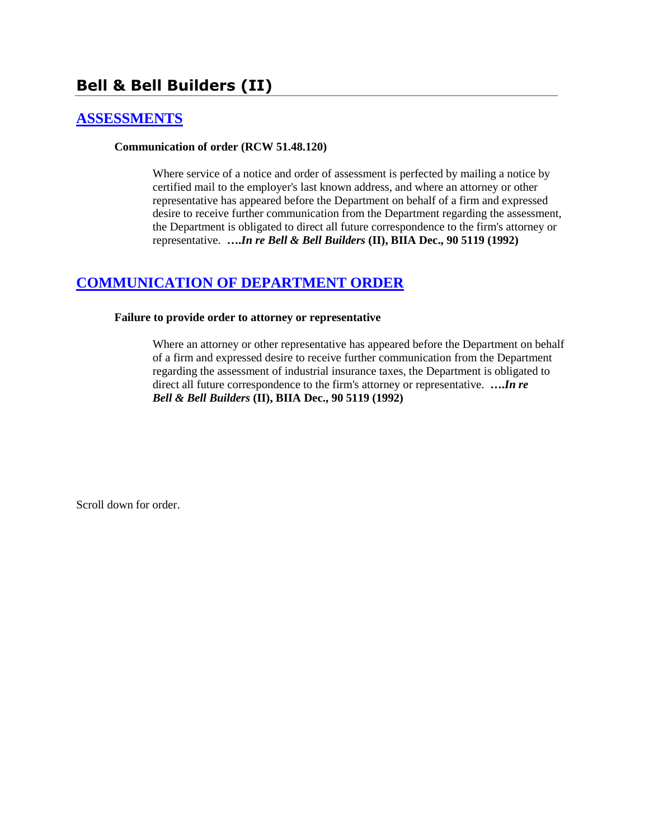# **Bell & Bell Builders (II)**

# **[ASSESSMENTS](http://www.biia.wa.gov/SDSubjectIndex.html#ASSESSMENTS)**

#### **Communication of order (RCW 51.48.120)**

Where service of a notice and order of assessment is perfected by mailing a notice by certified mail to the employer's last known address, and where an attorney or other representative has appeared before the Department on behalf of a firm and expressed desire to receive further communication from the Department regarding the assessment, the Department is obligated to direct all future correspondence to the firm's attorney or representative. **….***In re Bell & Bell Builders* **(II), BIIA Dec., 90 5119 (1992)**

# **[COMMUNICATION OF DEPARTMENT ORDER](http://www.biia.wa.gov/SDSubjectIndex.html#COMMUNICATION_OF_DEPARTMENT_ORDER)**

#### **Failure to provide order to attorney or representative**

Where an attorney or other representative has appeared before the Department on behalf of a firm and expressed desire to receive further communication from the Department regarding the assessment of industrial insurance taxes, the Department is obligated to direct all future correspondence to the firm's attorney or representative. **….***In re Bell & Bell Builders* **(II), BIIA Dec., 90 5119 (1992)**

Scroll down for order.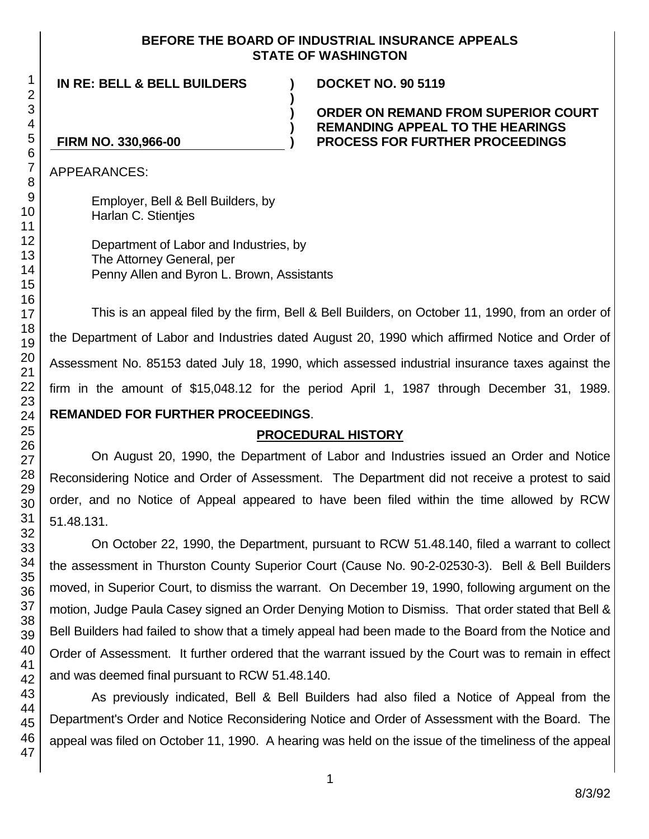## **BEFORE THE BOARD OF INDUSTRIAL INSURANCE APPEALS STATE OF WASHINGTON**

**)**

**) ) )**

**IN RE: BELL & BELL BUILDERS )**

**DOCKET NO. 90 5119**

## **ORDER ON REMAND FROM SUPERIOR COURT REMANDING APPEAL TO THE HEARINGS PROCESS FOR FURTHER PROCEEDINGS**

# **FIRM NO. 330,966-00**

APPEARANCES:

Employer, Bell & Bell Builders, by Harlan C. Stientjes

Department of Labor and Industries, by The Attorney General, per Penny Allen and Byron L. Brown, Assistants

This is an appeal filed by the firm, Bell & Bell Builders, on October 11, 1990, from an order of the Department of Labor and Industries dated August 20, 1990 which affirmed Notice and Order of Assessment No. 85153 dated July 18, 1990, which assessed industrial insurance taxes against the firm in the amount of \$15,048.12 for the period April 1, 1987 through December 31, 1989. **REMANDED FOR FURTHER PROCEEDINGS**.

# **PROCEDURAL HISTORY**

On August 20, 1990, the Department of Labor and Industries issued an Order and Notice Reconsidering Notice and Order of Assessment. The Department did not receive a protest to said order, and no Notice of Appeal appeared to have been filed within the time allowed by RCW 51.48.131.

On October 22, 1990, the Department, pursuant to RCW 51.48.140, filed a warrant to collect the assessment in Thurston County Superior Court (Cause No. 90-2-02530-3). Bell & Bell Builders moved, in Superior Court, to dismiss the warrant. On December 19, 1990, following argument on the motion, Judge Paula Casey signed an Order Denying Motion to Dismiss. That order stated that Bell & Bell Builders had failed to show that a timely appeal had been made to the Board from the Notice and Order of Assessment. It further ordered that the warrant issued by the Court was to remain in effect and was deemed final pursuant to RCW 51.48.140.

As previously indicated, Bell & Bell Builders had also filed a Notice of Appeal from the Department's Order and Notice Reconsidering Notice and Order of Assessment with the Board. The appeal was filed on October 11, 1990. A hearing was held on the issue of the timeliness of the appeal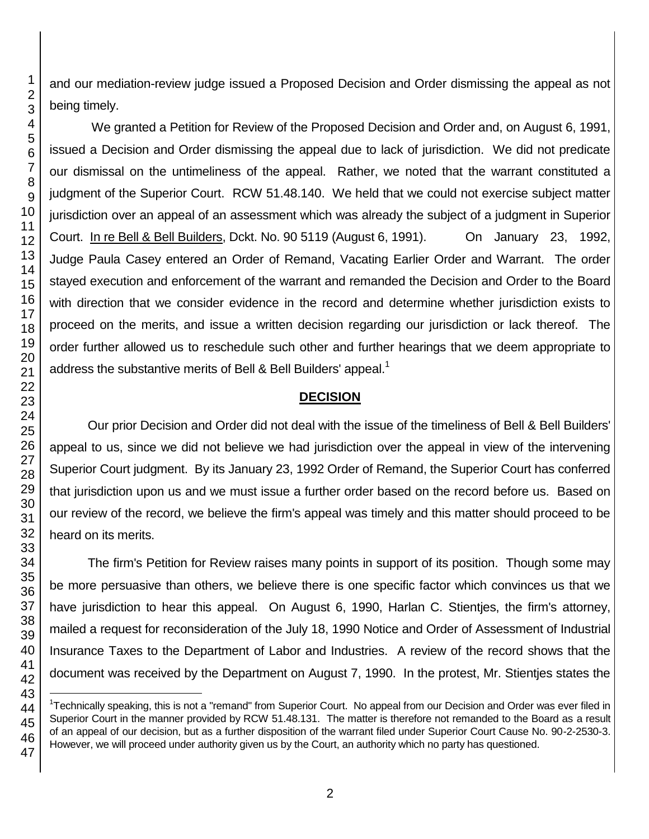and our mediation-review judge issued a Proposed Decision and Order dismissing the appeal as not being timely.

We granted a Petition for Review of the Proposed Decision and Order and, on August 6, 1991, issued a Decision and Order dismissing the appeal due to lack of jurisdiction. We did not predicate our dismissal on the untimeliness of the appeal. Rather, we noted that the warrant constituted a judgment of the Superior Court. RCW 51.48.140. We held that we could not exercise subject matter jurisdiction over an appeal of an assessment which was already the subject of a judgment in Superior Court. In re Bell & Bell Builders, Dckt. No. 90 5119 (August 6, 1991). On January 23, 1992, Judge Paula Casey entered an Order of Remand, Vacating Earlier Order and Warrant. The order stayed execution and enforcement of the warrant and remanded the Decision and Order to the Board with direction that we consider evidence in the record and determine whether jurisdiction exists to proceed on the merits, and issue a written decision regarding our jurisdiction or lack thereof. The order further allowed us to reschedule such other and further hearings that we deem appropriate to address the substantive merits of Bell & Bell Builders' appeal.<sup>1</sup>

# **DECISION**

Our prior Decision and Order did not deal with the issue of the timeliness of Bell & Bell Builders' appeal to us, since we did not believe we had jurisdiction over the appeal in view of the intervening Superior Court judgment. By its January 23, 1992 Order of Remand, the Superior Court has conferred that jurisdiction upon us and we must issue a further order based on the record before us. Based on our review of the record, we believe the firm's appeal was timely and this matter should proceed to be heard on its merits.

The firm's Petition for Review raises many points in support of its position. Though some may be more persuasive than others, we believe there is one specific factor which convinces us that we have jurisdiction to hear this appeal. On August 6, 1990, Harlan C. Stientjes, the firm's attorney, mailed a request for reconsideration of the July 18, 1990 Notice and Order of Assessment of Industrial Insurance Taxes to the Department of Labor and Industries. A review of the record shows that the document was received by the Department on August 7, 1990. In the protest, Mr. Stientjes states the

l

<sup>&</sup>lt;sup>1</sup>Technically speaking, this is not a "remand" from Superior Court. No appeal from our Decision and Order was ever filed in Superior Court in the manner provided by RCW 51.48.131. The matter is therefore not remanded to the Board as a result of an appeal of our decision, but as a further disposition of the warrant filed under Superior Court Cause No. 90-2-2530-3. However, we will proceed under authority given us by the Court, an authority which no party has questioned.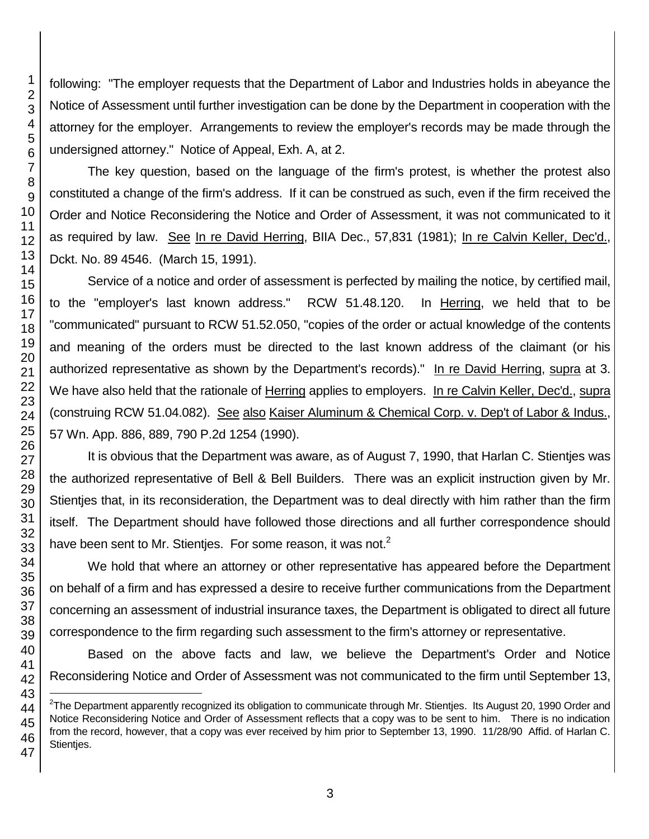following: "The employer requests that the Department of Labor and Industries holds in abeyance the Notice of Assessment until further investigation can be done by the Department in cooperation with the attorney for the employer. Arrangements to review the employer's records may be made through the undersigned attorney." Notice of Appeal, Exh. A, at 2.

The key question, based on the language of the firm's protest, is whether the protest also constituted a change of the firm's address. If it can be construed as such, even if the firm received the Order and Notice Reconsidering the Notice and Order of Assessment, it was not communicated to it as required by law. See In re David Herring, BIIA Dec., 57,831 (1981); In re Calvin Keller, Dec'd., Dckt. No. 89 4546. (March 15, 1991).

Service of a notice and order of assessment is perfected by mailing the notice, by certified mail, to the "employer's last known address." RCW 51.48.120. In Herring, we held that to be "communicated" pursuant to RCW 51.52.050, "copies of the order or actual knowledge of the contents and meaning of the orders must be directed to the last known address of the claimant (or his authorized representative as shown by the Department's records)." In re David Herring, supra at 3. We have also held that the rationale of Herring applies to employers. In re Calvin Keller, Dec'd., supra (construing RCW 51.04.082). See also Kaiser Aluminum & Chemical Corp. v. Dep't of Labor & Indus., 57 Wn. App. 886, 889, 790 P.2d 1254 (1990).

It is obvious that the Department was aware, as of August 7, 1990, that Harlan C. Stientjes was the authorized representative of Bell & Bell Builders. There was an explicit instruction given by Mr. Stientjes that, in its reconsideration, the Department was to deal directly with him rather than the firm itself. The Department should have followed those directions and all further correspondence should have been sent to Mr. Stienties. For some reason, it was not.

We hold that where an attorney or other representative has appeared before the Department on behalf of a firm and has expressed a desire to receive further communications from the Department concerning an assessment of industrial insurance taxes, the Department is obligated to direct all future correspondence to the firm regarding such assessment to the firm's attorney or representative.

Based on the above facts and law, we believe the Department's Order and Notice Reconsidering Notice and Order of Assessment was not communicated to the firm until September 13,

l

The Department apparently recognized its obligation to communicate through Mr. Stientjes. Its August 20, 1990 Order and Notice Reconsidering Notice and Order of Assessment reflects that a copy was to be sent to him. There is no indication from the record, however, that a copy was ever received by him prior to September 13, 1990. 11/28/90 Affid. of Harlan C. Stienties.